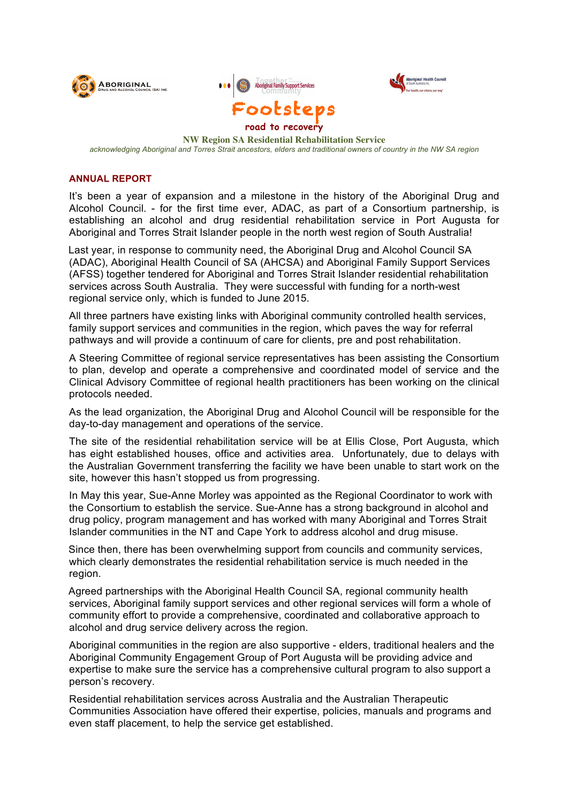





**NW Region SA Residential Rehabilitation Service** *acknowledging Aboriginal and Torres Strait ancestors, elders and traditional owners of country in the NW SA region*

#### **ANNUAL REPORT**

It's been a year of expansion and a milestone in the history of the Aboriginal Drug and Alcohol Council. - for the first time ever, ADAC, as part of a Consortium partnership, is establishing an alcohol and drug residential rehabilitation service in Port Augusta for Aboriginal and Torres Strait Islander people in the north west region of South Australia!

Last year, in response to community need, the Aboriginal Drug and Alcohol Council SA (ADAC), Aboriginal Health Council of SA (AHCSA) and Aboriginal Family Support Services (AFSS) together tendered for Aboriginal and Torres Strait Islander residential rehabilitation services across South Australia. They were successful with funding for a north-west regional service only, which is funded to June 2015.

All three partners have existing links with Aboriginal community controlled health services, family support services and communities in the region, which paves the way for referral pathways and will provide a continuum of care for clients, pre and post rehabilitation.

A Steering Committee of regional service representatives has been assisting the Consortium to plan, develop and operate a comprehensive and coordinated model of service and the Clinical Advisory Committee of regional health practitioners has been working on the clinical protocols needed.

As the lead organization, the Aboriginal Drug and Alcohol Council will be responsible for the day-to-day management and operations of the service.

The site of the residential rehabilitation service will be at Ellis Close, Port Augusta, which has eight established houses, office and activities area. Unfortunately, due to delays with the Australian Government transferring the facility we have been unable to start work on the site, however this hasn't stopped us from progressing.

In May this year, Sue-Anne Morley was appointed as the Regional Coordinator to work with the Consortium to establish the service. Sue-Anne has a strong background in alcohol and drug policy, program management and has worked with many Aboriginal and Torres Strait Islander communities in the NT and Cape York to address alcohol and drug misuse.

Since then, there has been overwhelming support from councils and community services, which clearly demonstrates the residential rehabilitation service is much needed in the region.

Agreed partnerships with the Aboriginal Health Council SA, regional community health services, Aboriginal family support services and other regional services will form a whole of community effort to provide a comprehensive, coordinated and collaborative approach to alcohol and drug service delivery across the region.

Aboriginal communities in the region are also supportive - elders, traditional healers and the Aboriginal Community Engagement Group of Port Augusta will be providing advice and expertise to make sure the service has a comprehensive cultural program to also support a person's recovery.

Residential rehabilitation services across Australia and the Australian Therapeutic Communities Association have offered their expertise, policies, manuals and programs and even staff placement, to help the service get established.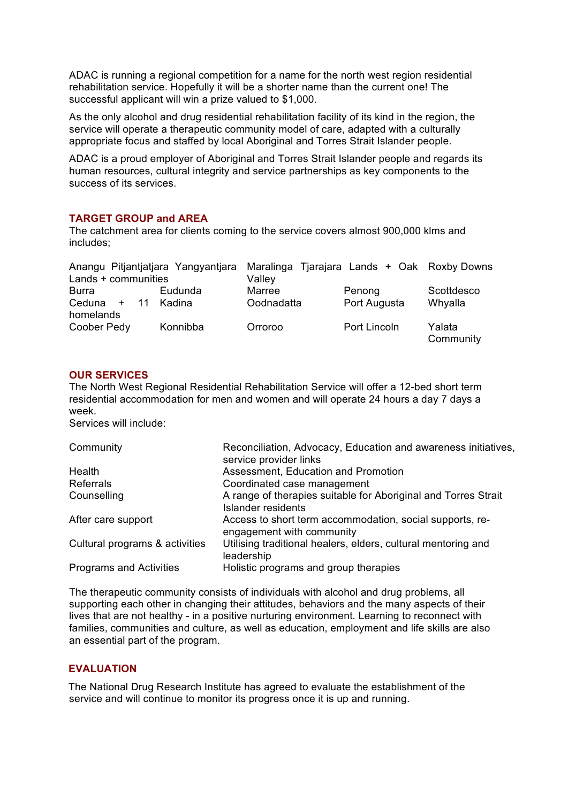ADAC is running a regional competition for a name for the north west region residential rehabilitation service. Hopefully it will be a shorter name than the current one! The successful applicant will win a prize valued to \$1,000.

As the only alcohol and drug residential rehabilitation facility of its kind in the region, the service will operate a therapeutic community model of care, adapted with a culturally appropriate focus and staffed by local Aboriginal and Torres Strait Islander people.

ADAC is a proud employer of Aboriginal and Torres Strait Islander people and regards its human resources, cultural integrity and service partnerships as key components to the success of its services.

### **TARGET GROUP and AREA**

The catchment area for clients coming to the service covers almost 900,000 klms and includes;

|                     | Anangu Pitjantjatjara Yangyantjara | Maralinga Tjarajara Lands + Oak Roxby Downs |              |            |
|---------------------|------------------------------------|---------------------------------------------|--------------|------------|
| Lands + communities |                                    | Valley                                      |              |            |
| <b>Burra</b>        | Eudunda                            | Marree                                      | Penong       | Scottdesco |
| Ceduna              | + 11 Kadina                        | Oodnadatta                                  | Port Augusta | Whyalla    |
| homelands           |                                    |                                             |              |            |
| Coober Pedy         | Konnibba                           | Orroroo                                     | Port Lincoln | Yalata     |
|                     |                                    |                                             |              | Community  |

#### **OUR SERVICES**

The North West Regional Residential Rehabilitation Service will offer a 12-bed short term residential accommodation for men and women and will operate 24 hours a day 7 days a week.

Services will include:

| Community                      | Reconciliation, Advocacy, Education and awareness initiatives,                        |
|--------------------------------|---------------------------------------------------------------------------------------|
|                                | service provider links                                                                |
| Health                         | Assessment, Education and Promotion                                                   |
| <b>Referrals</b>               | Coordinated case management                                                           |
| Counselling                    | A range of therapies suitable for Aboriginal and Torres Strait<br>Islander residents  |
| After care support             | Access to short term accommodation, social supports, re-<br>engagement with community |
| Cultural programs & activities | Utilising traditional healers, elders, cultural mentoring and<br>leadership           |
| Programs and Activities        | Holistic programs and group therapies                                                 |

The therapeutic community consists of individuals with alcohol and drug problems, all supporting each other in changing their attitudes, behaviors and the many aspects of their lives that are not healthy - in a positive nurturing environment. Learning to reconnect with families, communities and culture, as well as education, employment and life skills are also an essential part of the program.

#### **EVALUATION**

The National Drug Research Institute has agreed to evaluate the establishment of the service and will continue to monitor its progress once it is up and running.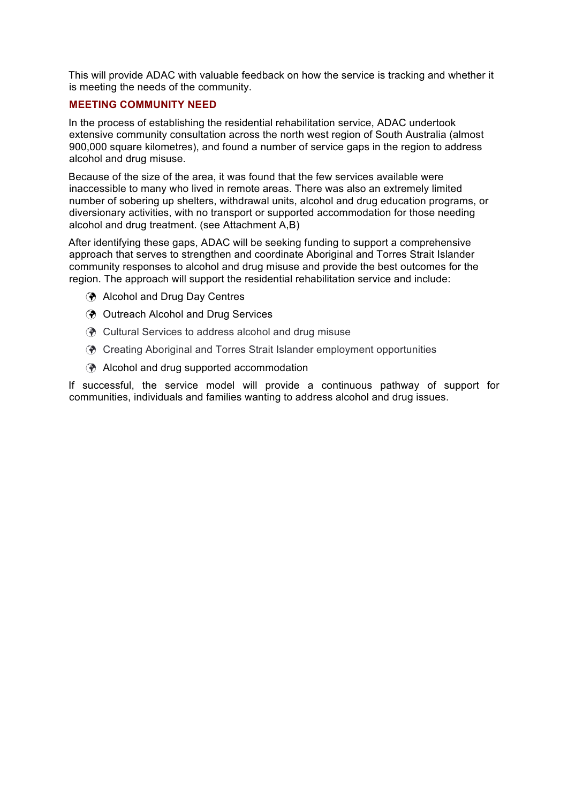This will provide ADAC with valuable feedback on how the service is tracking and whether it is meeting the needs of the community.

#### **MEETING COMMUNITY NEED**

In the process of establishing the residential rehabilitation service, ADAC undertook extensive community consultation across the north west region of South Australia (almost 900,000 square kilometres), and found a number of service gaps in the region to address alcohol and drug misuse.

Because of the size of the area, it was found that the few services available were inaccessible to many who lived in remote areas. There was also an extremely limited number of sobering up shelters, withdrawal units, alcohol and drug education programs, or diversionary activities, with no transport or supported accommodation for those needing alcohol and drug treatment. (see Attachment A,B)

After identifying these gaps, ADAC will be seeking funding to support a comprehensive approach that serves to strengthen and coordinate Aboriginal and Torres Strait Islander community responses to alcohol and drug misuse and provide the best outcomes for the region. The approach will support the residential rehabilitation service and include:

- **(?)** Alcohol and Drug Day Centres
- **(?)** Outreach Alcohol and Drug Services
- **(?)** Cultural Services to address alcohol and drug misuse
- ! Creating Aboriginal and Torres Strait Islander employment opportunities
- $\odot$  Alcohol and drug supported accommodation

If successful, the service model will provide a continuous pathway of support for communities, individuals and families wanting to address alcohol and drug issues.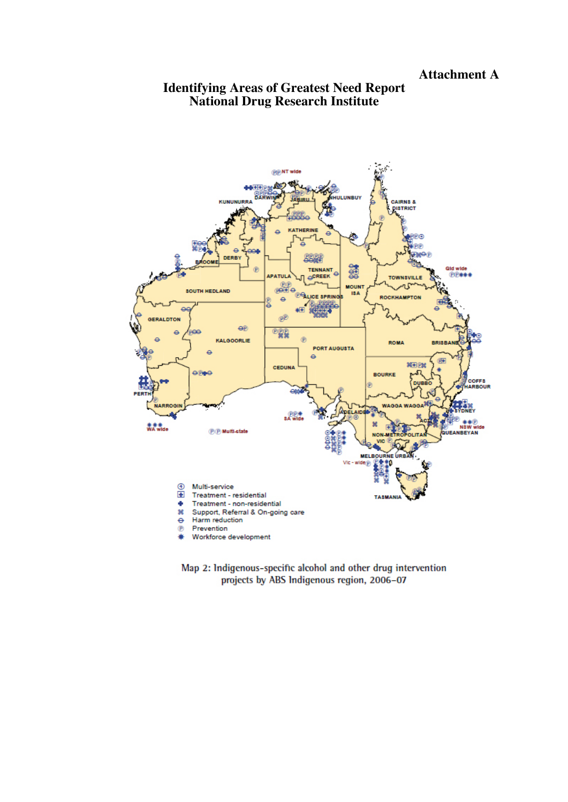# **Identifying Areas of Greatest Need Report National Drug Research Institute**



Map 2: Indigenous-specific alcohol and other drug intervention projects by ABS Indigenous region, 2006-07